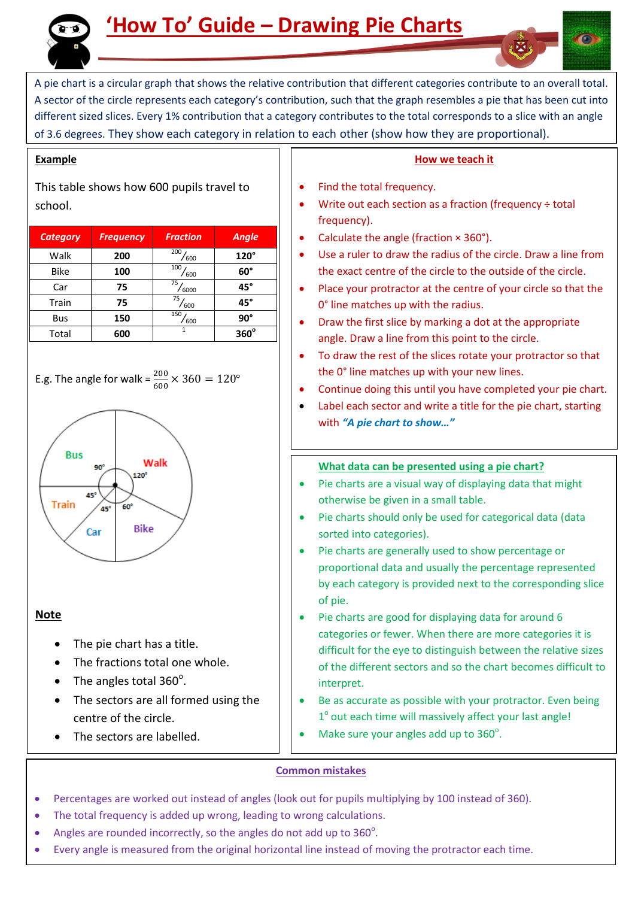

# **'How To' Guide – Drawing Pie Charts**

A pie chart is a circular graph that shows the relative contribution that different categories contribute to an overall total. A sector of the circle represents each category's contribution, such that the graph resembles a pie that has been cut into different sized slices. Every 1% contribution that a category contributes to the total corresponds to a slice with an angle of 3.6 degrees. They show each category in relation to each other (show how they are proportional).

#### **Example**

This table shows how 600 pupils travel to school.

| <b>Category</b> | <b>Frequency</b> | <b>Fraction</b> | <b>Angle</b> |
|-----------------|------------------|-----------------|--------------|
| Walk            | 200              | 200<br>600      | 120°         |
| <b>Bike</b>     | 100              | 100<br>600      | $60^\circ$   |
| Car             | 75               | 75<br>6000      | $45^\circ$   |
| Train           | 75               | 75<br>600       | $45^\circ$   |
| Bus             | 150              | 150<br>600      | $90^\circ$   |
| Total           | 600              |                 | $360^\circ$  |

E.g. The angle for walk = 
$$
\frac{200}{600} \times 360 = 120^{\circ}
$$



#### **Note**

- The pie chart has a title.
- The fractions total one whole.
- The angles total  $360^\circ$ .
- The sectors are all formed using the centre of the circle.
- The sectors are labelled.

### **How we teach it**

- Find the total frequency.
- Write out each section as a fraction (frequency ÷ total frequency).
- Calculate the angle (fraction × 360°).
- Use a ruler to draw the radius of the circle. Draw a line from the exact centre of the circle to the outside of the circle.
- Place your protractor at the centre of your circle so that the 0° line matches up with the radius.
- Draw the first slice by marking a dot at the appropriate angle. Draw a line from this point to the circle.
- To draw the rest of the slices rotate your protractor so that the 0° line matches up with your new lines.
- Continue doing this until you have completed your pie chart.
- Label each sector and write a title for the pie chart, starting with *"A pie chart to show…"*

# **What data can be presented using a pie chart?**

- Pie charts are a visual way of displaying data that might otherwise be given in a small table.
- Pie charts should only be used for categorical data (data sorted into categories).
- Pie charts are generally used to show percentage or proportional data and usually the percentage represented by each category is provided next to the corresponding slice of pie.
- Pie charts are good for displaying data for around 6 categories or fewer. When there are more categories it is difficult for the eye to distinguish between the relative sizes of the different sectors and so the chart becomes difficult to interpret.
- Be as accurate as possible with your protractor. Even being 1° out each time will massively affect your last angle!
- Make sure your angles add up to  $360^\circ$ .

## **Common mistakes**

- Percentages are worked out instead of angles (look out for pupils multiplying by 100 instead of 360).
- The total frequency is added up wrong, leading to wrong calculations.
- Angles are rounded incorrectly, so the angles do not add up to  $360^\circ$ .
- Every angle is measured from the original horizontal line instead of moving the protractor each time.